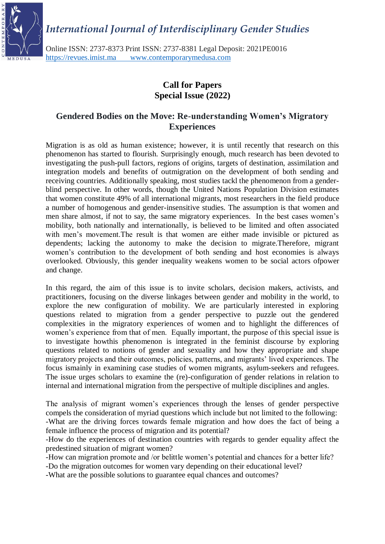*International Journal of Interdisciplinary Gender Studies*



Online ISSN: 2737-8373 Print ISSN: 2737-8381 Legal Deposit: 2021PE0016 [https://revues.imist.ma www.contemporarymedusa.com](https://revues.imist.ma/)

## **Call for Papers Special Issue (2022)**

### **Gendered Bodies on the Move: Re-understanding Women's Migratory Experiences**

Migration is as old as human existence; however, it is until recently that research on this phenomenon has started to flourish. Surprisingly enough, much research has been devoted to investigating the push-pull factors, regions of origins, targets of destination, assimilation and integration models and benefits of outmigration on the development of both sending and receiving countries. Additionally speaking, most studies tackl the phenomenon from a genderblind perspective. In other words, though the United Nations Population Division estimates that women constitute 49% of all international migrants, most researchers in the field produce a number of homogenous and gender-insensitive studies. The assumption is that women and men share almost, if not to say, the same migratory experiences. In the best cases women's mobility, both nationally and internationally, is believed to be limited and often associated with men's movement.The result is that women are either made invisible or pictured as dependents; lacking the autonomy to make the decision to migrate.Therefore, migrant women's contribution to the development of both sending and host economies is always overlooked. Obviously, this gender inequality weakens women to be social actors ofpower and change.

In this regard, the aim of this issue is to invite scholars, decision makers, activists, and practitioners, focusing on the diverse linkages between gender and mobility in the world, to explore the new configuration of mobility. We are particularly interested in exploring questions related to migration from a gender perspective to puzzle out the gendered complexities in the migratory experiences of women and to highlight the differences of women's experience from that of men. Equally important, the purpose of this special issue is to investigate howthis phenomenon is integrated in the feminist discourse by exploring questions related to notions of gender and sexuality and how they appropriate and shape migratory projects and their outcomes, policies, patterns, and migrants' lived experiences. The focus ismainly in examining case studies of women migrants, asylum-seekers and refugees. The issue urges scholars to examine the (re)-configuration of gender relations in relation to internal and international migration from the perspective of multiple disciplines and angles.

The analysis of migrant women's experiences through the lenses of gender perspective compels the consideration of myriad questions which include but not limited to the following: -What are the driving forces towards female migration and how does the fact of being a female influence the process of migration and its potential?

-How do the experiences of destination countries with regards to gender equality affect the predestined situation of migrant women?

-How can migration promote and /or belittle women's potential and chances for a better life?

-Do the migration outcomes for women vary depending on their educational level?

-What are the possible solutions to guarantee equal chances and outcomes?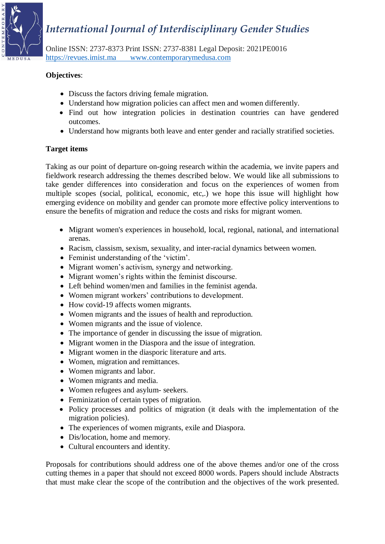## *International Journal of Interdisciplinary Gender Studies*



Online ISSN: 2737-8373 Print ISSN: 2737-8381 Legal Deposit: 2021PE0016 [https://revues.imist.ma www.contemporarymedusa.com](https://revues.imist.ma/)

#### **Objectives**:

- Discuss the factors driving female migration.
- Understand how migration policies can affect men and women differently.
- Find out how integration policies in destination countries can have gendered outcomes.
- Understand how migrants both leave and enter gender and racially stratified societies.

#### **Target items**

Taking as our point of departure on-going research within the academia, we invite papers and fieldwork research addressing the themes described below. We would like all submissions to take gender differences into consideration and focus on the experiences of women from multiple scopes (social, political, economic, etc,.) we hope this issue will highlight how emerging evidence on mobility and gender can promote more effective policy interventions to ensure the benefits of migration and reduce the costs and risks for migrant women.

- Migrant women's experiences in household, local, regional, national, and international arenas.
- Racism, classism, sexism, sexuality, and inter-racial dynamics between women.
- Feminist understanding of the 'victim'.
- Migrant women's activism, synergy and networking.
- Migrant women's rights within the feminist discourse.
- Left behind women/men and families in the feminist agenda.
- Women migrant workers' contributions to development.
- How covid-19 affects women migrants.
- Women migrants and the issues of health and reproduction.
- Women migrants and the issue of violence.
- The importance of gender in discussing the issue of migration.
- Migrant women in the Diaspora and the issue of integration.
- Migrant women in the diasporic literature and arts.
- Women, migration and remittances.
- Women migrants and labor.
- Women migrants and media.
- Women refugees and asylum- seekers.
- Feminization of certain types of migration.
- Policy processes and politics of migration (it deals with the implementation of the migration policies).
- The experiences of women migrants, exile and Diaspora.
- Dis/location, home and memory.
- Cultural encounters and identity.

Proposals for contributions should address one of the above themes and/or one of the cross cutting themes in a paper that should not exceed 8000 words. Papers should include Abstracts that must make clear the scope of the contribution and the objectives of the work presented.